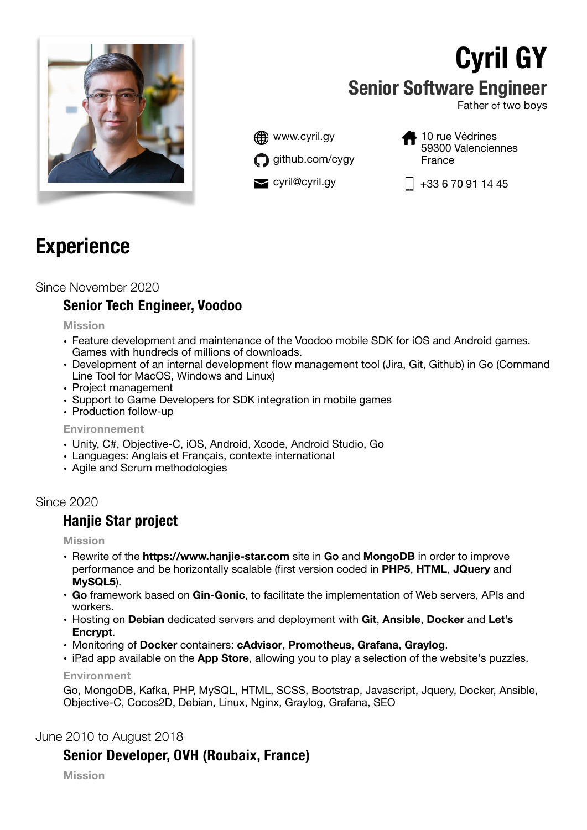

# **Cyril GY Senior Software Engineer**

Father of two boys



10 rue Védrines 59300 Valenciennes France

 $\blacktriangleright$  cyril@cyril.gy  $\lceil \frac{1}{433670911445} \rceil$ 

# **Experience**

## Since November 2020

## **Senior Tech Engineer, Voodoo**

**Mission** 

- Feature development and maintenance of the Voodoo mobile SDK for iOS and Android games. Games with hundreds of millions of downloads.
- Development of an internal development flow management tool (Jira, Git, Github) in Go (Command Line Tool for MacOS, Windows and Linux)
- Project management
- Support to Game Developers for SDK integration in mobile games
- Production follow-up

#### **Environnement**

- Unity, C#, Objective-C, iOS, Android, Xcode, Android Studio, Go
- Languages: Anglais et Français, contexte international
- Agile and Scrum methodologies

## Since 2020

## **Hanjie Star project**

#### **Mission**

- Rewrite of the **https://www.hanjie-star.com** site in **Go** and **MongoDB** in order to improve performance and be horizontally scalable (first version coded in **PHP5**, **HTML**, **JQuery** and **MySQL5**).
- **Go** framework based on **Gin-Gonic**, to facilitate the implementation of Web servers, APIs and workers.
- Hosting on **Debian** dedicated servers and deployment with **Git**, **Ansible**, **Docker** and **Let's Encrypt**.
- Monitoring of **Docker** containers: **cAdvisor**, **Promotheus**, **Grafana**, **Graylog**.
- iPad app available on the **App Store**, allowing you to play a selection of the website's puzzles.

**Environment** 

Go, MongoDB, Kafka, PHP, MySQL, HTML, SCSS, Bootstrap, Javascript, Jquery, Docker, Ansible, Objective-C, Cocos2D, Debian, Linux, Nginx, Graylog, Grafana, SEO

## June 2010 to August 2018

## **Senior Developer, OVH (Roubaix, France)**

**Mission**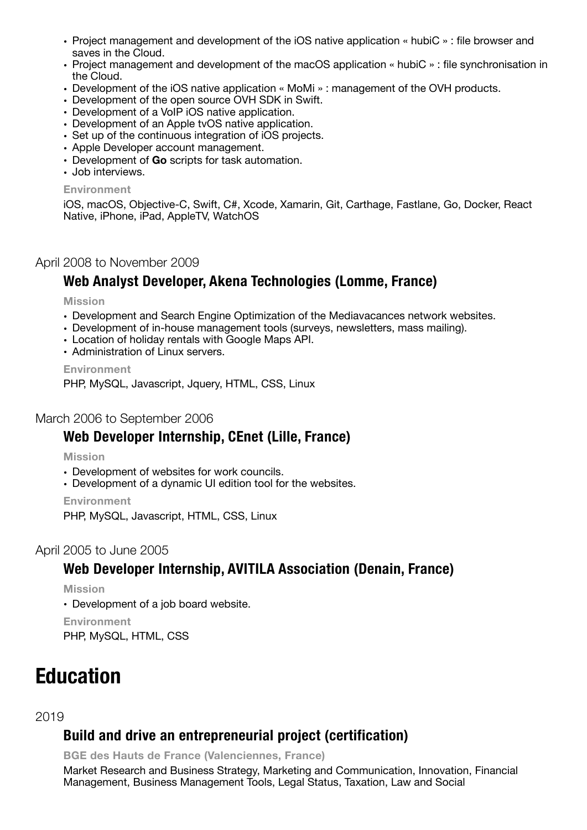- Project management and development of the iOS native application « hubiC » : file browser and saves in the Cloud.
- Project management and development of the macOS application « hubiC » : file synchronisation in the Cloud.
- Development of the iOS native application « MoMi » : management of the OVH products.
- Development of the open source OVH SDK in Swift.
- Development of a VoIP iOS native application.
- Development of an Apple tvOS native application.
- Set up of the continuous integration of iOS projects.
- Apple Developer account management.
- Development of **Go** scripts for task automation.
- Job interviews.

#### **Environment**

iOS, macOS, Objective-C, Swift, C#, Xcode, Xamarin, Git, Carthage, Fastlane, Go, Docker, React Native, iPhone, iPad, AppleTV, WatchOS

#### April 2008 to November 2009

## **Web Analyst Developer, Akena Technologies (Lomme, France)**

#### **Mission**

- Development and Search Engine Optimization of the Mediavacances network websites.
- Development of in-house management tools (surveys, newsletters, mass mailing).
- Location of holiday rentals with Google Maps API.
- Administration of Linux servers.

#### **Environment**

PHP, MySQL, Javascript, Jquery, HTML, CSS, Linux

#### March 2006 to September 2006

## **Web Developer Internship, CEnet (Lille, France)**

#### **Mission**

- Development of websites for work councils.
- Development of a dynamic UI edition tool for the websites.

**Environment** 

PHP, MySQL, Javascript, HTML, CSS, Linux

#### April 2005 to June 2005

## **Web Developer Internship, AVITILA Association (Denain, France)**

**Mission** 

• Development of a job board website.

**Environment** 

PHP, MySQL, HTML, CSS

## **Education**

#### 2019

## **Build and drive an entrepreneurial project (certification)**

**BGE des Hauts de France (Valenciennes, France)** 

Market Research and Business Strategy, Marketing and Communication, Innovation, Financial Management, Business Management Tools, Legal Status, Taxation, Law and Social